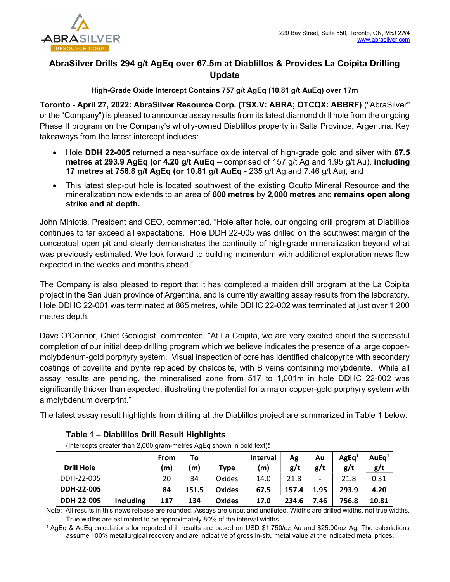

# AbraSilver Drills 294 g/t AgEq over 67.5m at Diablillos & Provides La Coipita Drilling Update

## High-Grade Oxide Intercept Contains 757 g/t AgEq (10.81 g/t AuEq) over 17m

Toronto - April 27, 2022: AbraSilver Resource Corp. (TSX.V: ABRA; OTCQX: ABBRF) ("AbraSilver" or the "Company") is pleased to announce assay results from its latest diamond drill hole from the ongoing Phase II program on the Company's wholly-owned Diablillos property in Salta Province, Argentina. Key takeaways from the latest intercept includes:

- Hole DDH 22-005 returned a near-surface oxide interval of high-grade gold and silver with 67.5 metres at 293.9 AgEq (or 4.20 g/t AuEq – comprised of 157 g/t Ag and 1.95 g/t Au), including 17 metres at 756.8 g/t AgEq (or 10.81 g/t AuEq - 235 g/t Ag and 7.46 g/t Au); and
- This latest step-out hole is located southwest of the existing Oculto Mineral Resource and the mineralization now extends to an area of 600 metres by 2,000 metres and remains open along strike and at depth.

John Miniotis, President and CEO, commented, "Hole after hole, our ongoing drill program at Diablillos continues to far exceed all expectations. Hole DDH 22-005 was drilled on the southwest margin of the conceptual open pit and clearly demonstrates the continuity of high-grade mineralization beyond what was previously estimated. We look forward to building momentum with additional exploration news flow expected in the weeks and months ahead."

The Company is also pleased to report that it has completed a maiden drill program at the La Coipita project in the San Juan province of Argentina, and is currently awaiting assay results from the laboratory. Hole DDHC 22-001 was terminated at 865 metres, while DDHC 22-002 was terminated at just over 1,200 metres depth.

Dave O'Connor, Chief Geologist, commented, "At La Coipita, we are very excited about the successful completion of our initial deep drilling program which we believe indicates the presence of a large coppermolybdenum-gold porphyry system. Visual inspection of core has identified chalcopyrite with secondary coatings of covellite and pyrite replaced by chalcosite, with B veins containing molybdenite. While all assay results are pending, the mineralised zone from 517 to 1,001m in hole DDHC 22-002 was significantly thicker than expected, illustrating the potential for a major copper-gold porphyry system with a molybdenum overprint."

The latest assay result highlights from drilling at the Diablillos project are summarized in Table 1 below.

| <b>Drill Hole</b> |                  | From<br>(m) | To<br>(m) | Type          | <b>Interval</b><br>(m) | Ag<br>g/t | Au<br>g/t | AgEq <sup>1</sup><br>g/t | AuEq <sup>1</sup><br>g/t |
|-------------------|------------------|-------------|-----------|---------------|------------------------|-----------|-----------|--------------------------|--------------------------|
| DDH-22-005        |                  | 20          | 34        | Oxides        | 14.0                   | 21.8      | -         | 21.8                     | 0.31                     |
| DDH-22-005        |                  | 84          | 151.5     | Oxides        | 67.5                   | 157.4     | 1.95      | 293.9                    | 4.20                     |
| DDH-22-005        | <b>Including</b> | 117         | 134       | <b>Oxides</b> | 17.0                   | 234.6     | 7.46      | 756.8                    | 10.81                    |

## Table 1 – Diablillos Drill Result Highlights

(Intercepts greater than 2,000 gram-metres AgEq shown in bold text):

Note: All results in this news release are rounded. Assays are uncut and undiluted. Widths are drilled widths, not true widths. True widths are estimated to be approximately 80% of the interval widths.

<sup>1</sup>AgEq & AuEq calculations for reported drill results are based on USD \$1,750/oz Au and \$25.00/oz Ag. The calculations assume 100% metallurgical recovery and are indicative of gross in-situ metal value at the indicated metal prices.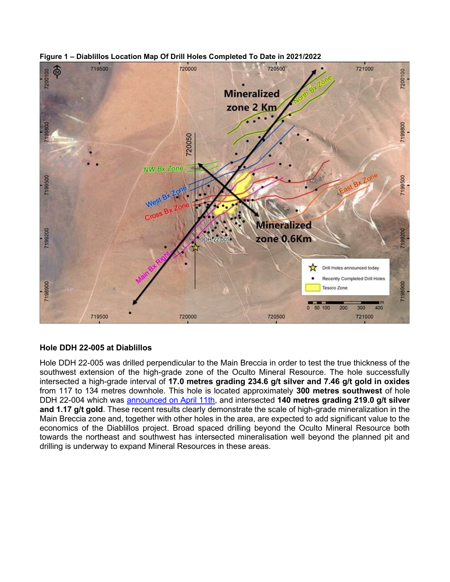



## Hole DDH 22-005 at Diablillos

Hole DDH 22-005 was drilled perpendicular to the Main Breccia in order to test the true thickness of the southwest extension of the high-grade zone of the Oculto Mineral Resource. The hole successfully intersected a high-grade interval of 17.0 metres grading 234.6 g/t silver and 7.46 g/t gold in oxides from 117 to 134 metres downhole. This hole is located approximately 300 metres southwest of hole DDH 22-004 which was announced on April 11th, and intersected 140 metres grading 219.0 g/t silver and 1.17 g/t gold. These recent results clearly demonstrate the scale of high-grade mineralization in the Main Breccia zone and, together with other holes in the area, are expected to add significant value to the economics of the Diablillos project. Broad spaced drilling beyond the Oculto Mineral Resource both towards the northeast and southwest has intersected mineralisation well beyond the planned pit and drilling is underway to expand Mineral Resources in these areas.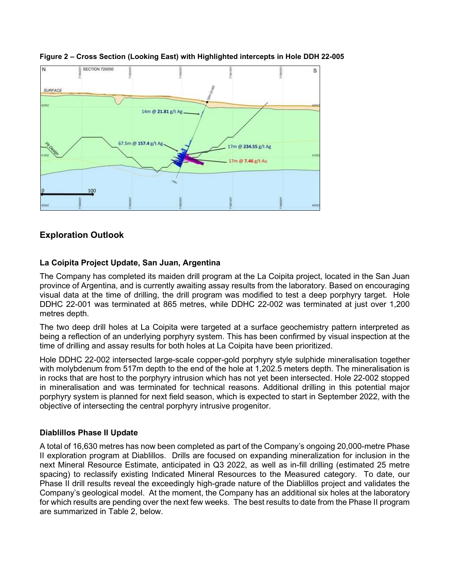

#### Figure 2 – Cross Section (Looking East) with Highlighted intercepts in Hole DDH 22-005

## Exploration Outlook

### La Coipita Project Update, San Juan, Argentina

The Company has completed its maiden drill program at the La Coipita project, located in the San Juan province of Argentina, and is currently awaiting assay results from the laboratory. Based on encouraging visual data at the time of drilling, the drill program was modified to test a deep porphyry target. Hole DDHC 22-001 was terminated at 865 metres, while DDHC 22-002 was terminated at just over 1,200 metres depth.

The two deep drill holes at La Coipita were targeted at a surface geochemistry pattern interpreted as being a reflection of an underlying porphyry system. This has been confirmed by visual inspection at the time of drilling and assay results for both holes at La Coipita have been prioritized.

Hole DDHC 22-002 intersected large-scale copper-gold porphyry style sulphide mineralisation together with molybdenum from 517m depth to the end of the hole at 1,202.5 meters depth. The mineralisation is in rocks that are host to the porphyry intrusion which has not yet been intersected. Hole 22-002 stopped in mineralisation and was terminated for technical reasons. Additional drilling in this potential major porphyry system is planned for next field season, which is expected to start in September 2022, with the objective of intersecting the central porphyry intrusive progenitor.

#### Diablillos Phase II Update

A total of 16,630 metres has now been completed as part of the Company's ongoing 20,000-metre Phase II exploration program at Diablillos. Drills are focused on expanding mineralization for inclusion in the next Mineral Resource Estimate, anticipated in Q3 2022, as well as in-fill drilling (estimated 25 metre spacing) to reclassify existing Indicated Mineral Resources to the Measured category. To date, our Phase II drill results reveal the exceedingly high-grade nature of the Diablillos project and validates the Company's geological model. At the moment, the Company has an additional six holes at the laboratory for which results are pending over the next few weeks. The best results to date from the Phase II program are summarized in Table 2, below.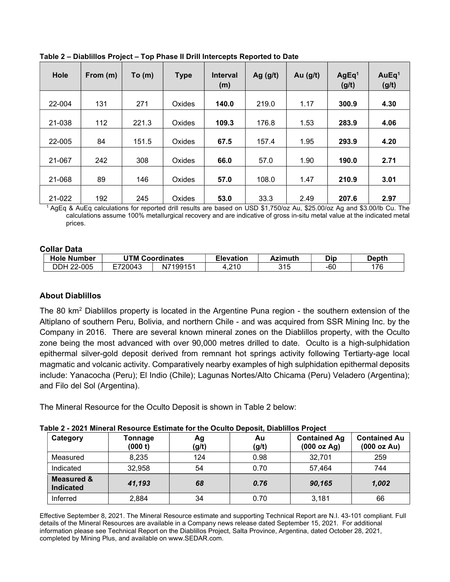| Hole   | From (m) | To(m) | <b>Type</b> | <b>Interval</b><br>(m) | Ag $(g/t)$ | Au $(g/t)$ | AgEq <sup>1</sup><br>(g/t) | AuEq <sup>1</sup><br>(g/t) |
|--------|----------|-------|-------------|------------------------|------------|------------|----------------------------|----------------------------|
| 22-004 | 131      | 271   | Oxides      | 140.0                  | 219.0      | 1.17       | 300.9                      | 4.30                       |
| 21-038 | 112      | 221.3 | Oxides      | 109.3                  | 176.8      | 1.53       | 283.9                      | 4.06                       |
| 22-005 | 84       | 151.5 | Oxides      | 67.5                   | 157.4      | 1.95       | 293.9                      | 4.20                       |
| 21-067 | 242      | 308   | Oxides      | 66.0                   | 57.0       | 1.90       | 190.0                      | 2.71                       |
| 21-068 | 89       | 146   | Oxides      | 57.0                   | 108.0      | 1.47       | 210.9                      | 3.01                       |
| 21-022 | 192      | 245   | Oxides      | 53.0                   | 33.3       | 2.49       | 207.6                      | 2.97                       |

Table 2 – Diablillos Project – Top Phase II Drill Intercepts Reported to Date

<sup>1</sup>AgEq & AuEq calculations for reported drill results are based on USD \$1,750/oz Au, \$25.00/oz Ag and \$3.00/lb Cu. The calculations assume 100% metallurgical recovery and are indicative of gross in-situ metal value at the indicated metal prices.

## Collar Data

| <b>Hole Number</b>  | UTM Cı<br>Coordinates |                | <b>Elevation</b> | <b>Azimuth</b> | Dip | Depth |
|---------------------|-----------------------|----------------|------------------|----------------|-----|-------|
| .2-005<br>DDH<br>ററ | E720043               | N7199151<br>N. | .210             | 315            | -60 | 176   |

## About Diablillos

The 80 km<sup>2</sup> Diablillos property is located in the Argentine Puna region - the southern extension of the Altiplano of southern Peru, Bolivia, and northern Chile - and was acquired from SSR Mining Inc. by the Company in 2016. There are several known mineral zones on the Diablillos property, with the Oculto zone being the most advanced with over 90,000 metres drilled to date. Oculto is a high-sulphidation epithermal silver-gold deposit derived from remnant hot springs activity following Tertiarty-age local magmatic and volcanic activity. Comparatively nearby examples of high sulphidation epithermal deposits include: Yanacocha (Peru); El Indio (Chile); Lagunas Nortes/Alto Chicama (Peru) Veladero (Argentina); and Filo del Sol (Argentina).

The Mineral Resource for the Oculto Deposit is shown in Table 2 below:

| Category                                  | Tonnage<br>(000 t) | Ag<br>(g/t) | Au<br>(g/t) | <b>Contained Ag</b><br>(000 oz Ag) | <b>Contained Au</b><br>(000 oz Au) |
|-------------------------------------------|--------------------|-------------|-------------|------------------------------------|------------------------------------|
| Measured                                  | 8,235              | 124         | 0.98        | 32,701                             | 259                                |
| Indicated                                 | 32,958             | 54          | 0.70        | 57,464                             | 744                                |
| <b>Measured &amp;</b><br><b>Indicated</b> | 41,193             | 68          | 0.76        | 90,165                             | 1,002                              |
| Inferred                                  | 2,884              | 34          | 0.70        | 3,181                              | 66                                 |

Effective September 8, 2021. The Mineral Resource estimate and supporting Technical Report are N.I. 43-101 compliant. Full details of the Mineral Resources are available in a Company news release dated September 15, 2021. For additional information please see Technical Report on the Diablillos Project, Salta Province, Argentina, dated October 28, 2021, completed by Mining Plus, and available on www.SEDAR.com.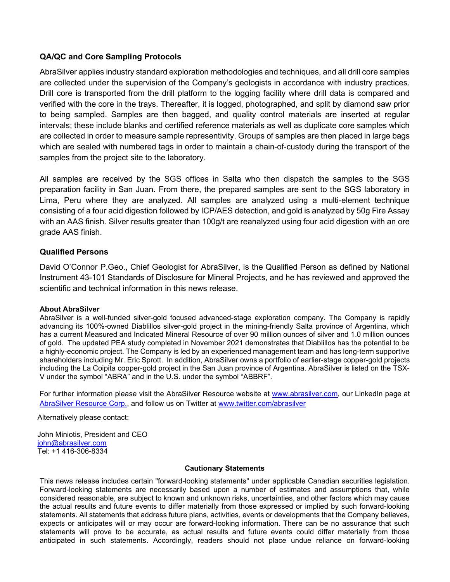## QA/QC and Core Sampling Protocols

AbraSilver applies industry standard exploration methodologies and techniques, and all drill core samples are collected under the supervision of the Company's geologists in accordance with industry practices. Drill core is transported from the drill platform to the logging facility where drill data is compared and verified with the core in the trays. Thereafter, it is logged, photographed, and split by diamond saw prior to being sampled. Samples are then bagged, and quality control materials are inserted at regular intervals; these include blanks and certified reference materials as well as duplicate core samples which are collected in order to measure sample representivity. Groups of samples are then placed in large bags which are sealed with numbered tags in order to maintain a chain-of-custody during the transport of the samples from the project site to the laboratory.

All samples are received by the SGS offices in Salta who then dispatch the samples to the SGS preparation facility in San Juan. From there, the prepared samples are sent to the SGS laboratory in Lima, Peru where they are analyzed. All samples are analyzed using a multi-element technique consisting of a four acid digestion followed by ICP/AES detection, and gold is analyzed by 50g Fire Assay with an AAS finish. Silver results greater than 100g/t are reanalyzed using four acid digestion with an ore grade AAS finish.

### Qualified Persons

David O'Connor P.Geo., Chief Geologist for AbraSilver, is the Qualified Person as defined by National Instrument 43-101 Standards of Disclosure for Mineral Projects, and he has reviewed and approved the scientific and technical information in this news release.

#### About AbraSilver

AbraSilver is a well-funded silver-gold focused advanced-stage exploration company. The Company is rapidly advancing its 100%-owned Diablillos silver-gold project in the mining-friendly Salta province of Argentina, which has a current Measured and Indicated Mineral Resource of over 90 million ounces of silver and 1.0 million ounces of gold. The updated PEA study completed in November 2021 demonstrates that Diablillos has the potential to be a highly-economic project. The Company is led by an experienced management team and has long-term supportive shareholders including Mr. Eric Sprott. In addition, AbraSilver owns a portfolio of earlier-stage copper-gold projects including the La Coipita copper-gold project in the San Juan province of Argentina. AbraSilver is listed on the TSX-V under the symbol "ABRA" and in the U.S. under the symbol "ABBRF".

For further information please visit the AbraSilver Resource website at www.abrasilver.com, our LinkedIn page at AbraSilver Resource Corp., and follow us on Twitter at www.twitter.com/abrasilver

Alternatively please contact:

John Miniotis, President and CEO john@abrasilver.com Tel: +1 416-306-8334

#### Cautionary Statements

This news release includes certain "forward-looking statements" under applicable Canadian securities legislation. Forward-looking statements are necessarily based upon a number of estimates and assumptions that, while considered reasonable, are subject to known and unknown risks, uncertainties, and other factors which may cause the actual results and future events to differ materially from those expressed or implied by such forward-looking statements. All statements that address future plans, activities, events or developments that the Company believes, expects or anticipates will or may occur are forward-looking information. There can be no assurance that such statements will prove to be accurate, as actual results and future events could differ materially from those anticipated in such statements. Accordingly, readers should not place undue reliance on forward-looking